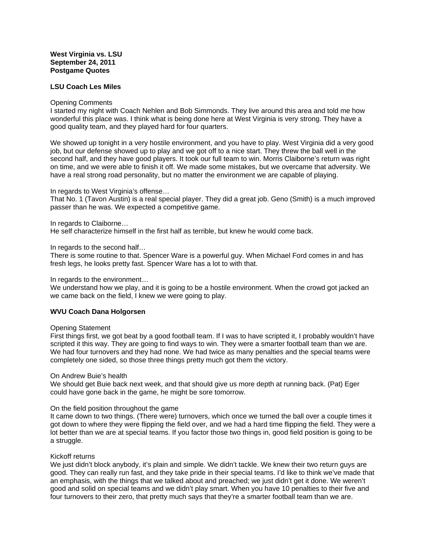# **West Virginia vs. LSU September 24, 2011 Postgame Quotes**

## **LSU Coach Les Miles**

#### Opening Comments

I started my night with Coach Nehlen and Bob Simmonds. They live around this area and told me how wonderful this place was. I think what is being done here at West Virginia is very strong. They have a good quality team, and they played hard for four quarters.

We showed up tonight in a very hostile environment, and you have to play. West Virginia did a very good job, but our defense showed up to play and we got off to a nice start. They threw the ball well in the second half, and they have good players. It took our full team to win. Morris Claiborne's return was right on time, and we were able to finish it off. We made some mistakes, but we overcame that adversity. We have a real strong road personality, but no matter the environment we are capable of playing.

## In regards to West Virginia's offense…

That No. 1 (Tavon Austin) is a real special player. They did a great job. Geno (Smith) is a much improved passer than he was. We expected a competitive game.

## In regards to Claiborne…

He self characterize himself in the first half as terrible, but knew he would come back.

## In regards to the second half…

There is some routine to that. Spencer Ware is a powerful guy. When Michael Ford comes in and has fresh legs, he looks pretty fast. Spencer Ware has a lot to with that.

#### In regards to the environment…

We understand how we play, and it is going to be a hostile environment. When the crowd got jacked an we came back on the field, I knew we were going to play.

# **WVU Coach Dana Holgorsen**

#### Opening Statement

First things first, we got beat by a good football team. If I was to have scripted it, I probably wouldn't have scripted it this way. They are going to find ways to win. They were a smarter football team than we are. We had four turnovers and they had none. We had twice as many penalties and the special teams were completely one sided, so those three things pretty much got them the victory.

#### On Andrew Buie's health

We should get Buie back next week, and that should give us more depth at running back. (Pat) Eger could have gone back in the game, he might be sore tomorrow.

# On the field position throughout the game

It came down to two things. (There were) turnovers, which once we turned the ball over a couple times it got down to where they were flipping the field over, and we had a hard time flipping the field. They were a lot better than we are at special teams. If you factor those two things in, good field position is going to be a struggle.

# Kickoff returns

We just didn't block anybody, it's plain and simple. We didn't tackle. We knew their two return guys are good. They can really run fast, and they take pride in their special teams. I'd like to think we've made that an emphasis, with the things that we talked about and preached; we just didn't get it done. We weren't good and solid on special teams and we didn't play smart. When you have 10 penalties to their five and four turnovers to their zero, that pretty much says that they're a smarter football team than we are.